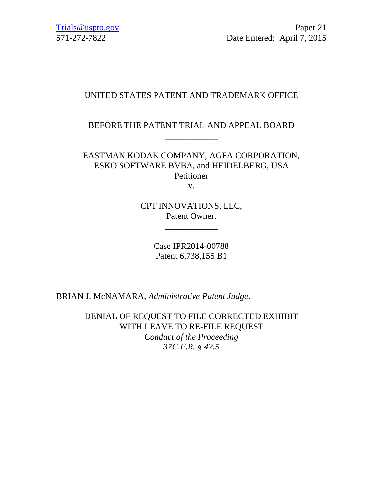## UNITED STATES PATENT AND TRADEMARK OFFICE \_\_\_\_\_\_\_\_\_\_\_\_

BEFORE THE PATENT TRIAL AND APPEAL BOARD \_\_\_\_\_\_\_\_\_\_\_\_

EASTMAN KODAK COMPANY, AGFA CORPORATION, ESKO SOFTWARE BVBA, and HEIDELBERG, USA Petitioner

v.

CPT INNOVATIONS, LLC, Patent Owner.

\_\_\_\_\_\_\_\_\_\_\_\_

Case IPR2014-00788 Patent 6,738,155 B1

\_\_\_\_\_\_\_\_\_\_\_\_

BRIAN J. McNAMARA, *Administrative Patent Judge*.

DENIAL OF REQUEST TO FILE CORRECTED EXHIBIT WITH LEAVE TO RE-FILE REQUEST *Conduct of the Proceeding 37C.F.R. § 42.5*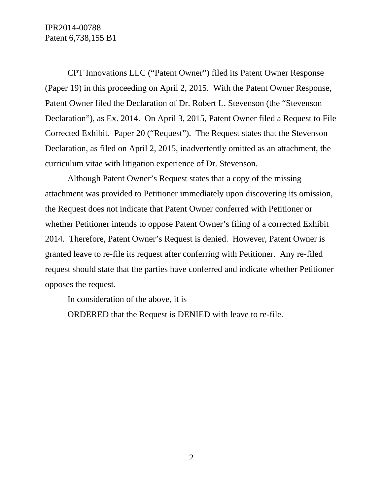IPR2014-00788 Patent 6,738,155 B1

CPT Innovations LLC ("Patent Owner") filed its Patent Owner Response (Paper 19) in this proceeding on April 2, 2015. With the Patent Owner Response, Patent Owner filed the Declaration of Dr. Robert L. Stevenson (the "Stevenson Declaration"), as Ex. 2014. On April 3, 2015, Patent Owner filed a Request to File Corrected Exhibit. Paper 20 ("Request"). The Request states that the Stevenson Declaration, as filed on April 2, 2015, inadvertently omitted as an attachment, the curriculum vitae with litigation experience of Dr. Stevenson.

Although Patent Owner's Request states that a copy of the missing attachment was provided to Petitioner immediately upon discovering its omission, the Request does not indicate that Patent Owner conferred with Petitioner or whether Petitioner intends to oppose Patent Owner's filing of a corrected Exhibit 2014. Therefore, Patent Owner's Request is denied. However, Patent Owner is granted leave to re-file its request after conferring with Petitioner. Any re-filed request should state that the parties have conferred and indicate whether Petitioner opposes the request.

In consideration of the above, it is

ORDERED that the Request is DENIED with leave to re-file.

2